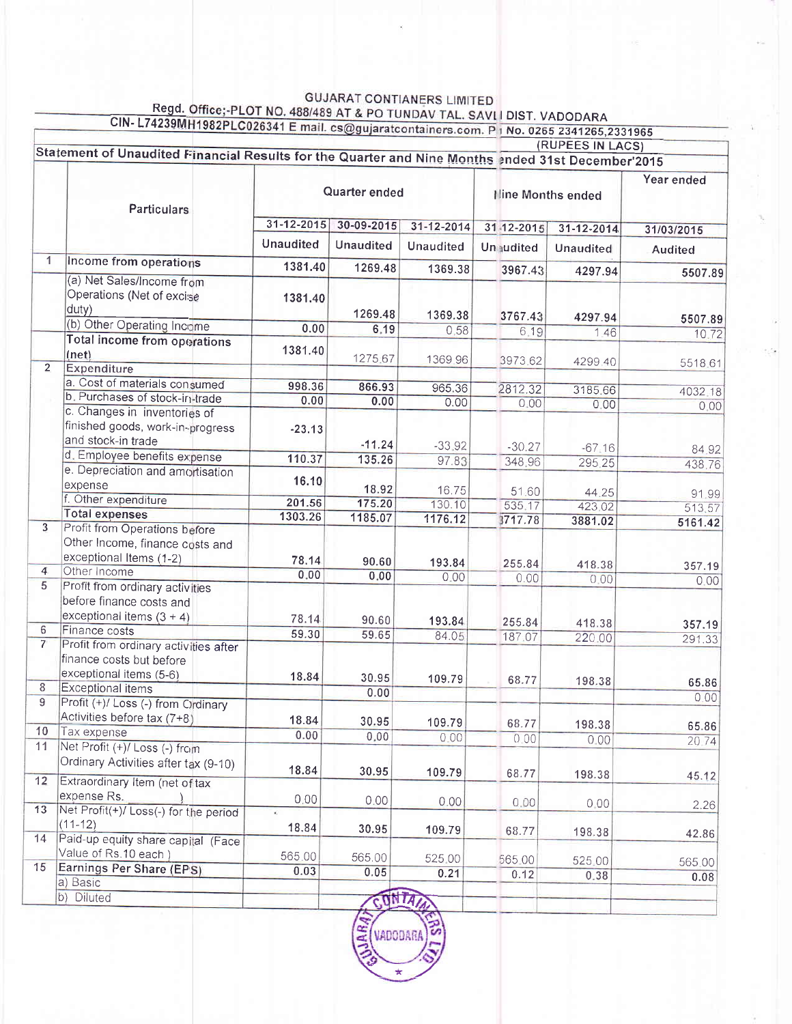## GUJARAT CONTIANERS LIMITED<br>Regd. Office;-PLOT NO. 488/489 AT & PO TUNDAV TAL. SAVLI DIST. VADODARA

|                 | CIN-L74239MH1982PLC026341 E mail. cs@gujaratcontainers.com. P 1 No. 0265 2341265,2331965     |                                                                                                   |                  |                  |                           | (RUPEES IN LACS) |                       |  |
|-----------------|----------------------------------------------------------------------------------------------|---------------------------------------------------------------------------------------------------|------------------|------------------|---------------------------|------------------|-----------------------|--|
|                 |                                                                                              | Statement of Unaudited Financial Results for the Quarter and Nine Months ended 31st December'2015 |                  |                  |                           |                  |                       |  |
|                 |                                                                                              |                                                                                                   |                  |                  |                           |                  | Year ended            |  |
|                 | <b>Particulars</b>                                                                           | Quarter ended                                                                                     |                  |                  | <b>Iline Months ended</b> |                  |                       |  |
|                 |                                                                                              | $31 - 12 - 2015$                                                                                  | 30-09-2015       | 31-12-2014       | 31-12-2015                | 31-12-2014       | 31/03/2015<br>Audited |  |
|                 |                                                                                              | <b>Unaudited</b>                                                                                  | <b>Unaudited</b> | <b>Unaudited</b> | <b>Unaudited</b>          | <b>Unaudited</b> |                       |  |
| $\overline{1}$  | Income from operations                                                                       | 1381.40                                                                                           | 1269.48          | 1369.38          | 3967.43                   | 4297.94          | 5507.89               |  |
|                 | (a) Net Sales/Income from<br>Operations (Net of excise<br>duty)                              | 1381.40                                                                                           | 1269.48          | 1369.38          | 3767.43                   | 4297.94          | 5507.89               |  |
|                 | (b) Other Operating Income                                                                   | 0.00                                                                                              | 6.19             | 0.58             | 6.19                      | 1.46             | 10.72                 |  |
|                 | Total income from operations<br>(net)                                                        | 1381.40                                                                                           | 1275.67          | 1369.96          | 3973.62                   | 4299.40          | 5518.61               |  |
| $\overline{2}$  | <b>Expenditure</b>                                                                           |                                                                                                   |                  |                  |                           |                  |                       |  |
|                 | a. Cost of materials consumed                                                                | 998.36                                                                                            | 866.93           | 965.36           | 2812.32                   | 3185.66          | 4032.18               |  |
|                 | b. Purchases of stock-in-trade                                                               | 0.00                                                                                              | 0.00             | 0.00             | 0.00                      | 0.00             | 0.00                  |  |
|                 | c. Changes in inventories of<br>finished goods, work-in-progress<br>and stock-in trade       | $-23.13$                                                                                          | $-11.24$         | $-33.92$         | $-30.27$                  | $-67.16$         | 84.92                 |  |
|                 | d. Employee benefits expense                                                                 | 110.37                                                                                            | 135.26           | 97.83            | 348.96                    | 295.25           | 438.76                |  |
|                 | e. Depreciation and amortisation<br>expense                                                  | 16.10                                                                                             | 18.92            | 16.75            | 51.60                     | 44.25            | 91.99                 |  |
|                 | f. Other expenditure                                                                         | 201.56                                                                                            | 175.20           | 130.10           | 535.17                    | 423.02           | 513.57                |  |
|                 | <b>Total expenses</b>                                                                        | 1303.26                                                                                           | 1185.07          | 1176.12          | 3717.78                   | 3881.02          | 5161.42               |  |
| 3               | Profit from Operations before<br>Other Income, finance costs and<br>exceptional Items (1-2)  | 78.14                                                                                             | 90.60            | 193.84           | 255.84                    | 418.38           | 357.19                |  |
| $\overline{4}$  | Other Income                                                                                 | 0.00                                                                                              | 0.00             | 0.00             | 0.00                      | 0.00             | 0.00                  |  |
| 5 <sup>2</sup>  | Profit from ordinary activities<br>before finance costs and<br>exceptional items $(3 + 4)$   | 78.14                                                                                             | 90.60            | 193.84           | 255.84                    |                  |                       |  |
| 6               | Finance costs                                                                                | 59.30                                                                                             | 59.65            | 84.05            | 187.07                    | 418.38<br>220.00 | 357.19                |  |
| $7^{\circ}$     | Profit from ordinary activities after<br>finance costs but before<br>exceptional items (5-6) | 18.84                                                                                             | 30.95            | 109.79           | 68.77                     | 198.38           | 291.33<br>65.86       |  |
| 8               | <b>Exceptional items</b>                                                                     |                                                                                                   | 0.00             |                  |                           |                  | 0.00                  |  |
| 9               | Profit (+)/ Loss (-) from Ordinary<br>Activities before tax (7+8)                            |                                                                                                   |                  |                  |                           |                  |                       |  |
| 10 <sub>1</sub> | Tax expense                                                                                  | 18.84                                                                                             | 30.95            | 109.79           | 68.77                     | 198.38           | 65.86                 |  |
| 11              | Net Profit (+)/ Loss (-) from                                                                | 0.00                                                                                              | 0.00             | 0.00             | 0.00                      | 0.00             | 20.74                 |  |
|                 | Ordinary Activities after tax (9-10)                                                         | 18.84                                                                                             | 30.95            | 109.79           | 68.77                     | 198.38           | 45.12                 |  |
| 12              | Extraordinary Item (net of tax                                                               |                                                                                                   |                  |                  |                           |                  |                       |  |
| 13              | expense Rs.<br>Net Profit(+)/ Loss(-) for the period                                         | 0.00                                                                                              | 0.00             | 0.00.            | 0.00                      | 0.00             | 2.26                  |  |
| 14              | $(11 - 12)$<br>Paid-up equity share capital (Face                                            | 18.84                                                                                             | 30.95            | 109.79           | 68.77                     | 198.38           | 42.86                 |  |
|                 | Value of Rs.10 each)                                                                         | 565.00                                                                                            | 565.00           |                  |                           |                  |                       |  |
| 15              | Earnings Per Share (EPS)                                                                     | 0.03                                                                                              | 0.05             | 525.00<br>0.21   | 565.00<br>0.12            | 525.00           | 565.00                |  |
|                 | a) Basic                                                                                     |                                                                                                   |                  |                  |                           | 0.38             | 0.08                  |  |
|                 | b) Diluted                                                                                   |                                                                                                   | CONTA            |                  |                           |                  |                       |  |